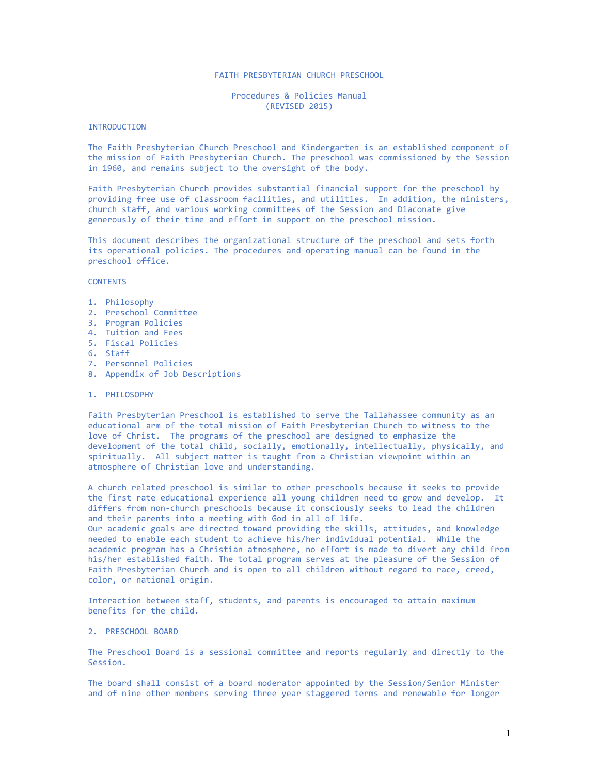## FAITH PRESBYTERIAN CHURCH PRESCHOOL

Procedures & Policies Manual (REVISED 2015)

#### INTRODUCTION

The Faith Presbyterian Church Preschool and Kindergarten is an established component of the mission of Faith Presbyterian Church. The preschool was commissioned by the Session in 1960, and remains subject to the oversight of the body.

Faith Presbyterian Church provides substantial financial support for the preschool by providing free use of classroom facilities, and utilities. In addition, the ministers, church staff, and various working committees of the Session and Diaconate give generously of their time and effort in support on the preschool mission.

This document describes the organizational structure of the preschool and sets forth its operational policies. The procedures and operating manual can be found in the preschool office.

## **CONTENTS**

- 1. Philosophy
- 2. Preschool Committee
- 3. Program Policies
- 4. Tuition and Fees
- 5. Fiscal Policies
- 6. Staff
- 7. Personnel Policies
- 8. Appendix of Job Descriptions

#### 1. PHILOSOPHY

Faith Presbyterian Preschool is established to serve the Tallahassee community as an educational arm of the total mission of Faith Presbyterian Church to witness to the love of Christ. The programs of the preschool are designed to emphasize the development of the total child, socially, emotionally, intellectually, physically, and spiritually. All subject matter is taught from a Christian viewpoint within an atmosphere of Christian love and understanding.

A church related preschool is similar to other preschools because it seeks to provide the first rate educational experience all young children need to grow and develop. It differs from non-church preschools because it consciously seeks to lead the children and their parents into a meeting with God in all of life.

Our academic goals are directed toward providing the skills, attitudes, and knowledge needed to enable each student to achieve his/her individual potential. While the academic program has a Christian atmosphere, no effort is made to divert any child from his/her established faith. The total program serves at the pleasure of the Session of Faith Presbyterian Church and is open to all children without regard to race, creed, color, or national origin.

Interaction between staff, students, and parents is encouraged to attain maximum benefits for the child.

#### 2. PRESCHOOL BOARD

The Preschool Board is a sessional committee and reports regularly and directly to the Session.

The board shall consist of a board moderator appointed by the Session/Senior Minister and of nine other members serving three year staggered terms and renewable for longer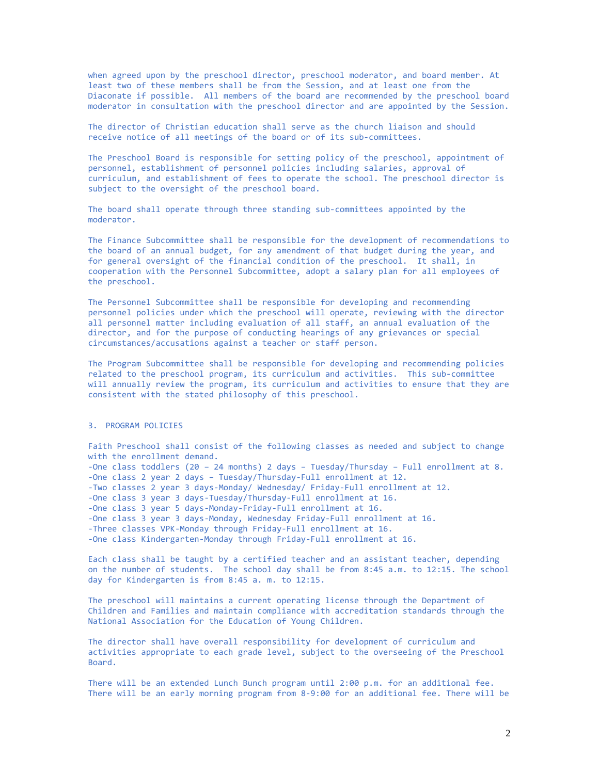when agreed upon by the preschool director, preschool moderator, and board member. At least two of these members shall be from the Session, and at least one from the Diaconate if possible. All members of the board are recommended by the preschool board moderator in consultation with the preschool director and are appointed by the Session.

The director of Christian education shall serve as the church liaison and should receive notice of all meetings of the board or of its sub-committees.

The Preschool Board is responsible for setting policy of the preschool, appointment of personnel, establishment of personnel policies including salaries, approval of curriculum, and establishment of fees to operate the school. The preschool director is subject to the oversight of the preschool board.

The board shall operate through three standing sub-committees appointed by the moderator.

The Finance Subcommittee shall be responsible for the development of recommendations to the board of an annual budget, for any amendment of that budget during the year, and for general oversight of the financial condition of the preschool. It shall, in cooperation with the Personnel Subcommittee, adopt a salary plan for all employees of the preschool.

The Personnel Subcommittee shall be responsible for developing and recommending personnel policies under which the preschool will operate, reviewing with the director all personnel matter including evaluation of all staff, an annual evaluation of the director, and for the purpose of conducting hearings of any grievances or special circumstances/accusations against a teacher or staff person.

The Program Subcommittee shall be responsible for developing and recommending policies related to the preschool program, its curriculum and activities. This sub-committee will annually review the program, its curriculum and activities to ensure that they are consistent with the stated philosophy of this preschool.

## 3. PROGRAM POLICIES

Faith Preschool shall consist of the following classes as needed and subject to change with the enrollment demand. -One class toddlers (20 – 24 months) 2 days – Tuesday/Thursday – Full enrollment at 8. -One class 2 year 2 days – Tuesday/Thursday-Full enrollment at 12. -Two classes 2 year 3 days-Monday/ Wednesday/ Friday-Full enrollment at 12. -One class 3 year 3 days-Tuesday/Thursday-Full enrollment at 16. -One class 3 year 5 days-Monday-Friday-Full enrollment at 16. -One class 3 year 3 days-Monday, Wednesday Friday-Full enrollment at 16. -Three classes VPK-Monday through Friday-Full enrollment at 16. -One class Kindergarten-Monday through Friday-Full enrollment at 16.

Each class shall be taught by a certified teacher and an assistant teacher, depending on the number of students. The school day shall be from 8:45 a.m. to 12:15. The school day for Kindergarten is from 8:45 a. m. to 12:15.

The preschool will maintains a current operating license through the Department of Children and Families and maintain compliance with accreditation standards through the National Association for the Education of Young Children.

The director shall have overall responsibility for development of curriculum and activities appropriate to each grade level, subject to the overseeing of the Preschool Board.

There will be an extended Lunch Bunch program until 2:00 p.m. for an additional fee. There will be an early morning program from 8-9:00 for an additional fee. There will be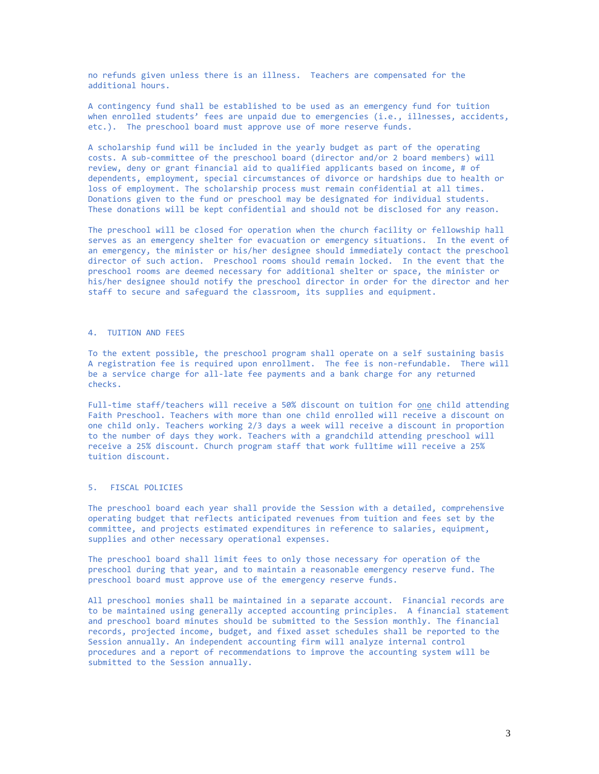no refunds given unless there is an illness. Teachers are compensated for the additional hours.

A contingency fund shall be established to be used as an emergency fund for tuition when enrolled students' fees are unpaid due to emergencies (i.e., illnesses, accidents, etc.). The preschool board must approve use of more reserve funds.

A scholarship fund will be included in the yearly budget as part of the operating costs. A sub-committee of the preschool board (director and/or 2 board members) will review, deny or grant financial aid to qualified applicants based on income, # of dependents, employment, special circumstances of divorce or hardships due to health or loss of employment. The scholarship process must remain confidential at all times. Donations given to the fund or preschool may be designated for individual students. These donations will be kept confidential and should not be disclosed for any reason.

The preschool will be closed for operation when the church facility or fellowship hall serves as an emergency shelter for evacuation or emergency situations. In the event of an emergency, the minister or his/her designee should immediately contact the preschool director of such action. Preschool rooms should remain locked. In the event that the preschool rooms are deemed necessary for additional shelter or space, the minister or his/her designee should notify the preschool director in order for the director and her staff to secure and safeguard the classroom, its supplies and equipment.

#### 4. TUITION AND FEES

To the extent possible, the preschool program shall operate on a self sustaining basis A registration fee is required upon enrollment. The fee is non-refundable. There will be a service charge for all-late fee payments and a bank charge for any returned checks.

Full-time staff/teachers will receive a 50% discount on tuition for one child attending Faith Preschool. Teachers with more than one child enrolled will receive a discount on one child only. Teachers working 2/3 days a week will receive a discount in proportion to the number of days they work. Teachers with a grandchild attending preschool will receive a 25% discount. Church program staff that work fulltime will receive a 25% tuition discount.

## 5. FISCAL POLICIES

The preschool board each year shall provide the Session with a detailed, comprehensive operating budget that reflects anticipated revenues from tuition and fees set by the committee, and projects estimated expenditures in reference to salaries, equipment, supplies and other necessary operational expenses.

The preschool board shall limit fees to only those necessary for operation of the preschool during that year, and to maintain a reasonable emergency reserve fund. The preschool board must approve use of the emergency reserve funds.

All preschool monies shall be maintained in a separate account. Financial records are to be maintained using generally accepted accounting principles. A financial statement and preschool board minutes should be submitted to the Session monthly. The financial records, projected income, budget, and fixed asset schedules shall be reported to the Session annually. An independent accounting firm will analyze internal control procedures and a report of recommendations to improve the accounting system will be submitted to the Session annually.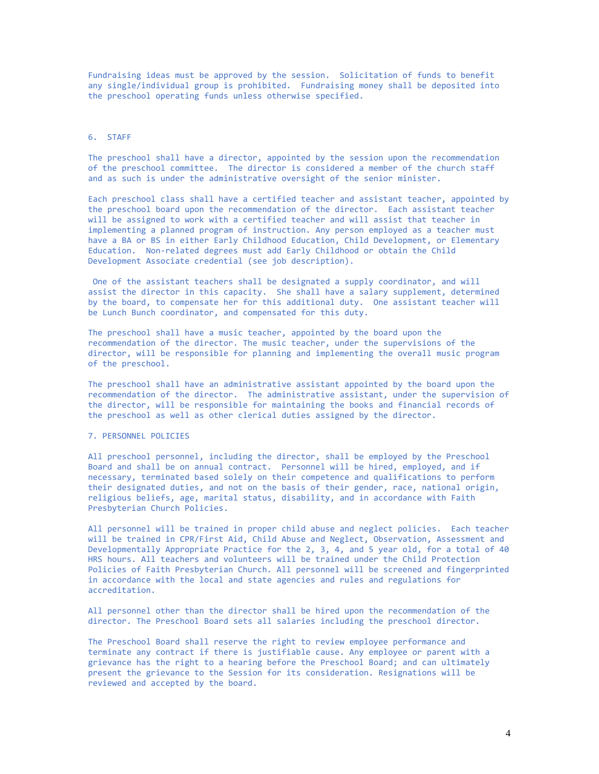Fundraising ideas must be approved by the session. Solicitation of funds to benefit any single/individual group is prohibited. Fundraising money shall be deposited into the preschool operating funds unless otherwise specified.

#### 6. STAFF

The preschool shall have a director, appointed by the session upon the recommendation of the preschool committee. The director is considered a member of the church staff and as such is under the administrative oversight of the senior minister.

Each preschool class shall have a certified teacher and assistant teacher, appointed by the preschool board upon the recommendation of the director. Each assistant teacher will be assigned to work with a certified teacher and will assist that teacher in implementing a planned program of instruction. Any person employed as a teacher must have a BA or BS in either Early Childhood Education, Child Development, or Elementary Education. Non-related degrees must add Early Childhood or obtain the Child Development Associate credential (see job description).

One of the assistant teachers shall be designated a supply coordinator, and will assist the director in this capacity. She shall have a salary supplement, determined by the board, to compensate her for this additional duty. One assistant teacher will be Lunch Bunch coordinator, and compensated for this duty.

The preschool shall have a music teacher, appointed by the board upon the recommendation of the director. The music teacher, under the supervisions of the director, will be responsible for planning and implementing the overall music program of the preschool.

The preschool shall have an administrative assistant appointed by the board upon the recommendation of the director. The administrative assistant, under the supervision of the director, will be responsible for maintaining the books and financial records of the preschool as well as other clerical duties assigned by the director.

#### 7. PERSONNEL POLICIES

All preschool personnel, including the director, shall be employed by the Preschool Board and shall be on annual contract. Personnel will be hired, employed, and if necessary, terminated based solely on their competence and qualifications to perform their designated duties, and not on the basis of their gender, race, national origin, religious beliefs, age, marital status, disability, and in accordance with Faith Presbyterian Church Policies.

All personnel will be trained in proper child abuse and neglect policies. Each teacher will be trained in CPR/First Aid, Child Abuse and Neglect, Observation, Assessment and Developmentally Appropriate Practice for the 2, 3, 4, and 5 year old, for a total of 40 HRS hours. All teachers and volunteers will be trained under the Child Protection Policies of Faith Presbyterian Church. All personnel will be screened and fingerprinted in accordance with the local and state agencies and rules and regulations for accreditation.

All personnel other than the director shall be hired upon the recommendation of the director. The Preschool Board sets all salaries including the preschool director.

The Preschool Board shall reserve the right to review employee performance and terminate any contract if there is justifiable cause. Any employee or parent with a grievance has the right to a hearing before the Preschool Board; and can ultimately present the grievance to the Session for its consideration. Resignations will be reviewed and accepted by the board.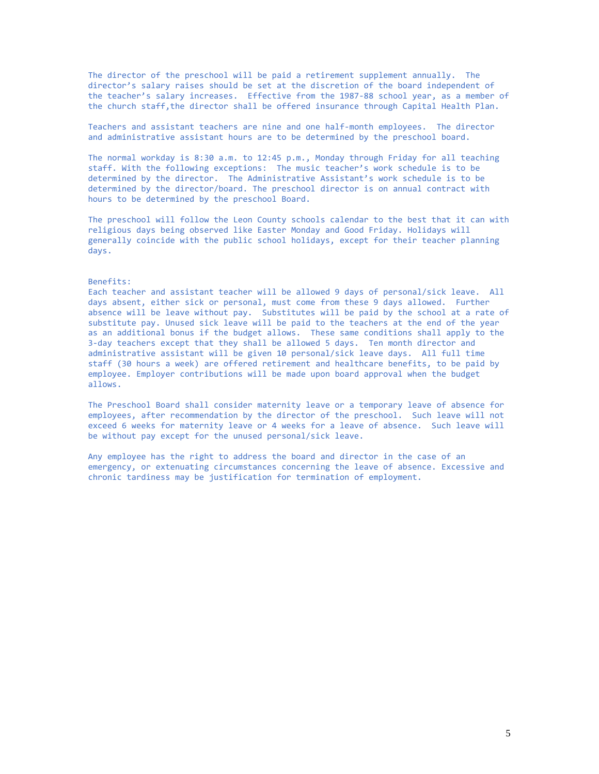The director of the preschool will be paid a retirement supplement annually. The director's salary raises should be set at the discretion of the board independent of the teacher's salary increases. Effective from the 1987-88 school year, as a member of the church staff,the director shall be offered insurance through Capital Health Plan.

Teachers and assistant teachers are nine and one half-month employees. The director and administrative assistant hours are to be determined by the preschool board.

The normal workday is 8:30 a.m. to 12:45 p.m., Monday through Friday for all teaching staff. With the following exceptions: The music teacher's work schedule is to be determined by the director. The Administrative Assistant's work schedule is to be determined by the director/board. The preschool director is on annual contract with hours to be determined by the preschool Board.

The preschool will follow the Leon County schools calendar to the best that it can with religious days being observed like Easter Monday and Good Friday. Holidays will generally coincide with the public school holidays, except for their teacher planning days.

#### Benefits:

Each teacher and assistant teacher will be allowed 9 days of personal/sick leave. All days absent, either sick or personal, must come from these 9 days allowed. Further absence will be leave without pay. Substitutes will be paid by the school at a rate of substitute pay. Unused sick leave will be paid to the teachers at the end of the year as an additional bonus if the budget allows. These same conditions shall apply to the 3-day teachers except that they shall be allowed 5 days. Ten month director and administrative assistant will be given 10 personal/sick leave days. All full time staff (30 hours a week) are offered retirement and healthcare benefits, to be paid by employee. Employer contributions will be made upon board approval when the budget allows.

The Preschool Board shall consider maternity leave or a temporary leave of absence for employees, after recommendation by the director of the preschool. Such leave will not exceed 6 weeks for maternity leave or 4 weeks for a leave of absence. Such leave will be without pay except for the unused personal/sick leave.

Any employee has the right to address the board and director in the case of an emergency, or extenuating circumstances concerning the leave of absence. Excessive and chronic tardiness may be justification for termination of employment.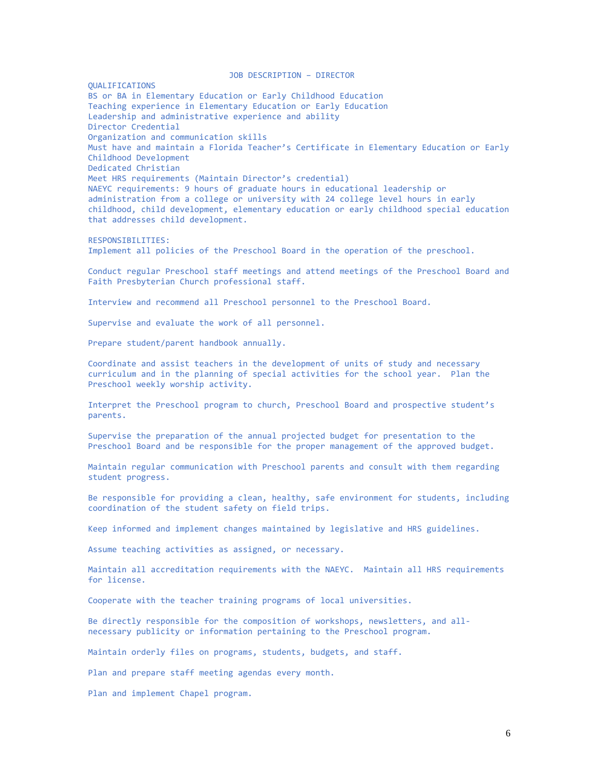JOB DESCRIPTION – DIRECTOR QUALIFICATIONS BS or BA in Elementary Education or Early Childhood Education Teaching experience in Elementary Education or Early Education Leadership and administrative experience and ability Director Credential Organization and communication skills Must have and maintain a Florida Teacher's Certificate in Elementary Education or Early Childhood Development Dedicated Christian Meet HRS requirements (Maintain Director's credential) NAEYC requirements: 9 hours of graduate hours in educational leadership or administration from a college or university with 24 college level hours in early childhood, child development, elementary education or early childhood special education that addresses child development. RESPONSIBILITIES: Implement all policies of the Preschool Board in the operation of the preschool. Conduct regular Preschool staff meetings and attend meetings of the Preschool Board and Faith Presbyterian Church professional staff. Interview and recommend all Preschool personnel to the Preschool Board. Supervise and evaluate the work of all personnel. Prepare student/parent handbook annually. Coordinate and assist teachers in the development of units of study and necessary curriculum and in the planning of special activities for the school year. Plan the Preschool weekly worship activity. Interpret the Preschool program to church, Preschool Board and prospective student's parents. Supervise the preparation of the annual projected budget for presentation to the Preschool Board and be responsible for the proper management of the approved budget. Maintain regular communication with Preschool parents and consult with them regarding student progress. Be responsible for providing a clean, healthy, safe environment for students, including coordination of the student safety on field trips. Keep informed and implement changes maintained by legislative and HRS guidelines. Assume teaching activities as assigned, or necessary. Maintain all accreditation requirements with the NAEYC. Maintain all HRS requirements for license. Cooperate with the teacher training programs of local universities. Be directly responsible for the composition of workshops, newsletters, and allnecessary publicity or information pertaining to the Preschool program. Maintain orderly files on programs, students, budgets, and staff. Plan and prepare staff meeting agendas every month.

Plan and implement Chapel program.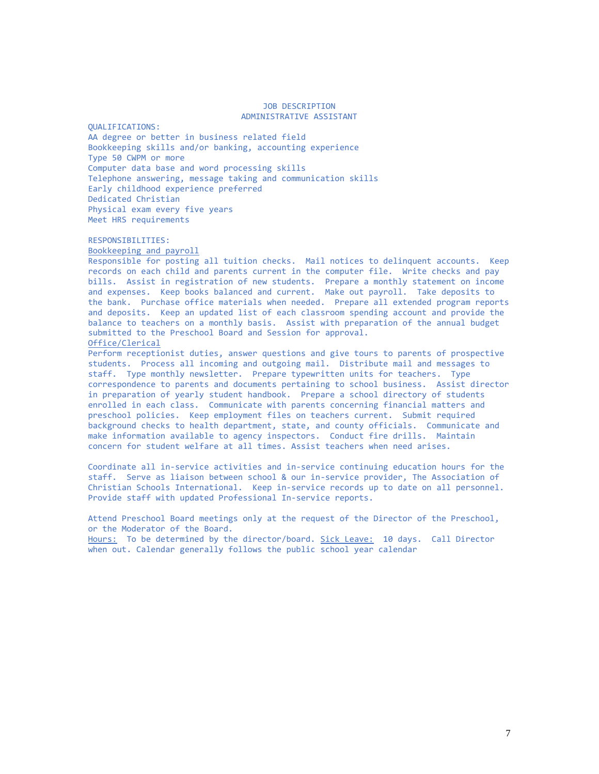#### JOB DESCRIPTION ADMINISTRATIVE ASSISTANT

QUALIFICATIONS: AA degree or better in business related field Bookkeeping skills and/or banking, accounting experience Type 50 CWPM or more Computer data base and word processing skills Telephone answering, message taking and communication skills Early childhood experience preferred Dedicated Christian Physical exam every five years Meet HRS requirements

RESPONSIBILITIES:

Bookkeeping and payroll

Responsible for posting all tuition checks. Mail notices to delinquent accounts. Keep records on each child and parents current in the computer file. Write checks and pay bills. Assist in registration of new students. Prepare a monthly statement on income and expenses. Keep books balanced and current. Make out payroll. Take deposits to the bank. Purchase office materials when needed. Prepare all extended program reports and deposits. Keep an updated list of each classroom spending account and provide the balance to teachers on a monthly basis. Assist with preparation of the annual budget submitted to the Preschool Board and Session for approval. Office/Clerical

Perform receptionist duties, answer questions and give tours to parents of prospective students. Process all incoming and outgoing mail. Distribute mail and messages to staff. Type monthly newsletter. Prepare typewritten units for teachers. Type correspondence to parents and documents pertaining to school business. Assist director in preparation of yearly student handbook. Prepare a school directory of students enrolled in each class. Communicate with parents concerning financial matters and preschool policies. Keep employment files on teachers current. Submit required background checks to health department, state, and county officials. Communicate and make information available to agency inspectors. Conduct fire drills. Maintain concern for student welfare at all times. Assist teachers when need arises.

Coordinate all in-service activities and in-service continuing education hours for the staff. Serve as liaison between school & our in-service provider, The Association of Christian Schools International. Keep in-service records up to date on all personnel. Provide staff with updated Professional In-service reports.

Attend Preschool Board meetings only at the request of the Director of the Preschool, or the Moderator of the Board.

Hours: To be determined by the director/board. Sick Leave: 10 days. Call Director when out. Calendar generally follows the public school year calendar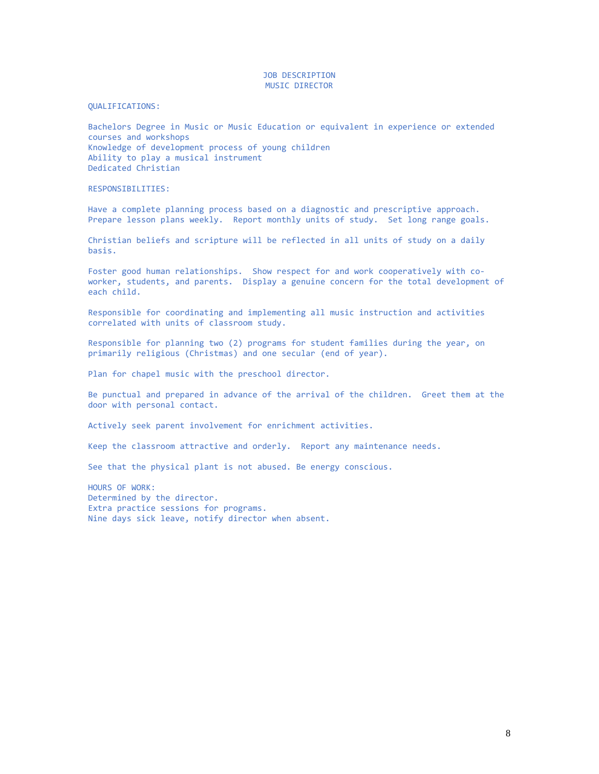## JOB DESCRIPTION MUSIC DIRECTOR

#### QUALIFICATIONS:

Bachelors Degree in Music or Music Education or equivalent in experience or extended courses and workshops Knowledge of development process of young children Ability to play a musical instrument Dedicated Christian

RESPONSIBILITIES:

Have a complete planning process based on a diagnostic and prescriptive approach. Prepare lesson plans weekly. Report monthly units of study. Set long range goals.

Christian beliefs and scripture will be reflected in all units of study on a daily basis.

Foster good human relationships. Show respect for and work cooperatively with coworker, students, and parents. Display a genuine concern for the total development of each child.

Responsible for coordinating and implementing all music instruction and activities correlated with units of classroom study.

Responsible for planning two (2) programs for student families during the year, on primarily religious (Christmas) and one secular (end of year).

Plan for chapel music with the preschool director.

Be punctual and prepared in advance of the arrival of the children. Greet them at the door with personal contact.

Actively seek parent involvement for enrichment activities.

Keep the classroom attractive and orderly. Report any maintenance needs.

See that the physical plant is not abused. Be energy conscious.

HOURS OF WORK: Determined by the director. Extra practice sessions for programs. Nine days sick leave, notify director when absent.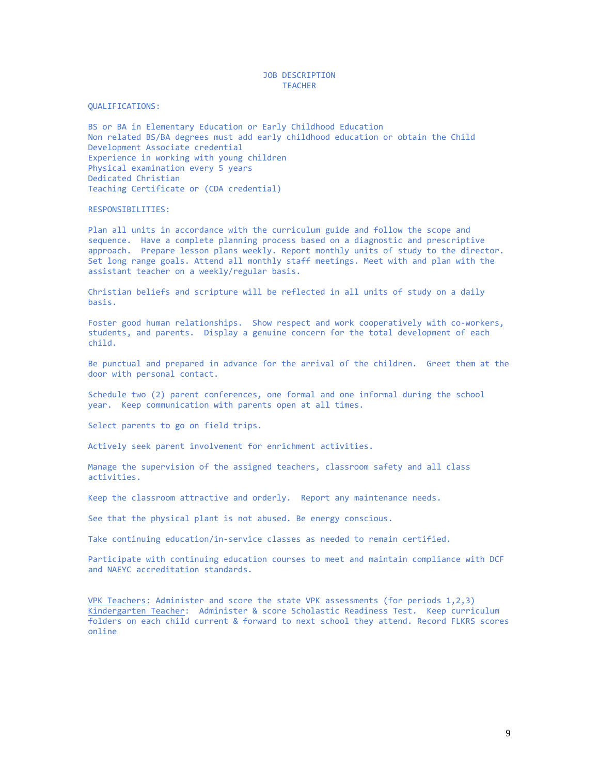## JOB DESCRIPTION TEACHER

QUALIFICATIONS:

BS or BA in Elementary Education or Early Childhood Education Non related BS/BA degrees must add early childhood education or obtain the Child Development Associate credential Experience in working with young children Physical examination every 5 years Dedicated Christian Teaching Certificate or (CDA credential)

## RESPONSIBILITIES:

Plan all units in accordance with the curriculum guide and follow the scope and sequence. Have a complete planning process based on a diagnostic and prescriptive approach. Prepare lesson plans weekly. Report monthly units of study to the director. Set long range goals. Attend all monthly staff meetings. Meet with and plan with the assistant teacher on a weekly/regular basis.

Christian beliefs and scripture will be reflected in all units of study on a daily basis.

Foster good human relationships. Show respect and work cooperatively with co-workers, students, and parents. Display a genuine concern for the total development of each child.

Be punctual and prepared in advance for the arrival of the children. Greet them at the door with personal contact.

Schedule two (2) parent conferences, one formal and one informal during the school year. Keep communication with parents open at all times.

Select parents to go on field trips.

Actively seek parent involvement for enrichment activities.

Manage the supervision of the assigned teachers, classroom safety and all class activities.

Keep the classroom attractive and orderly. Report any maintenance needs.

See that the physical plant is not abused. Be energy conscious.

Take continuing education/in-service classes as needed to remain certified.

Participate with continuing education courses to meet and maintain compliance with DCF and NAEYC accreditation standards.

VPK Teachers: Administer and score the state VPK assessments (for periods 1,2,3) Kindergarten Teacher: Administer & score Scholastic Readiness Test. Keep curriculum folders on each child current & forward to next school they attend. Record FLKRS scores online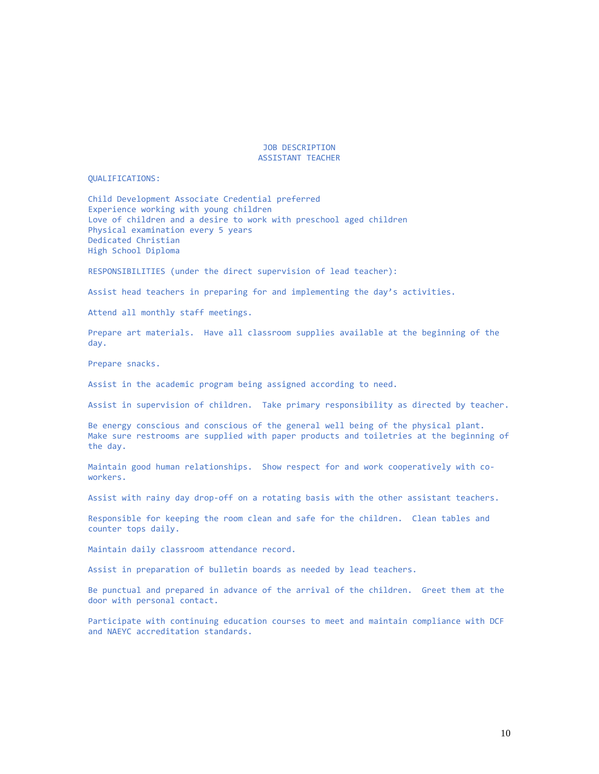JOB DESCRIPTION ASSISTANT TEACHER

#### QUALIFICATIONS:

Child Development Associate Credential preferred Experience working with young children Love of children and a desire to work with preschool aged children Physical examination every 5 years Dedicated Christian High School Diploma

RESPONSIBILITIES (under the direct supervision of lead teacher):

Assist head teachers in preparing for and implementing the day's activities.

Attend all monthly staff meetings.

Prepare art materials. Have all classroom supplies available at the beginning of the day.

Prepare snacks.

Assist in the academic program being assigned according to need.

Assist in supervision of children. Take primary responsibility as directed by teacher.

Be energy conscious and conscious of the general well being of the physical plant. Make sure restrooms are supplied with paper products and toiletries at the beginning of the day.

Maintain good human relationships. Show respect for and work cooperatively with coworkers.

Assist with rainy day drop-off on a rotating basis with the other assistant teachers.

Responsible for keeping the room clean and safe for the children. Clean tables and counter tops daily.

Maintain daily classroom attendance record.

Assist in preparation of bulletin boards as needed by lead teachers.

Be punctual and prepared in advance of the arrival of the children. Greet them at the door with personal contact.

Participate with continuing education courses to meet and maintain compliance with DCF and NAEYC accreditation standards.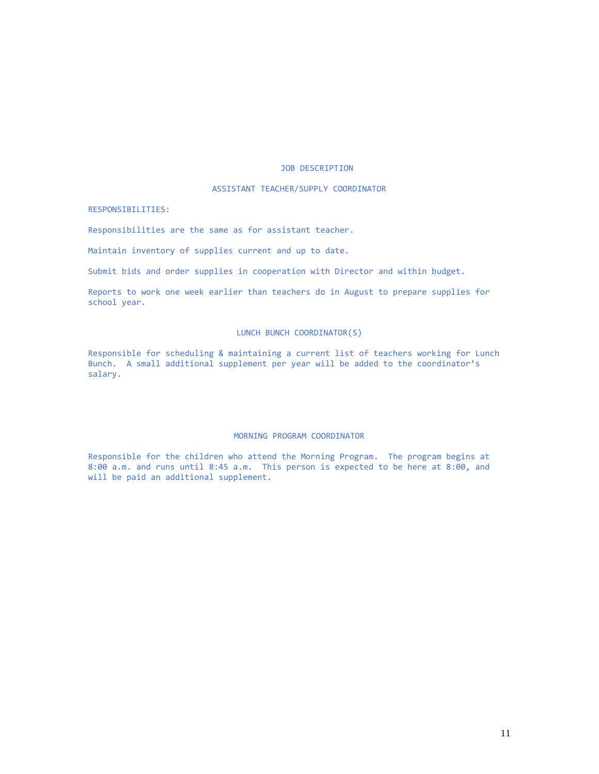## JOB DESCRIPTION

## ASSISTANT TEACHER/SUPPLY COORDINATOR

#### RESPONSIBILITIES:

Responsibilities are the same as for assistant teacher.

Maintain inventory of supplies current and up to date.

Submit bids and order supplies in cooperation with Director and within budget.

Reports to work one week earlier than teachers do in August to prepare supplies for school year.

## LUNCH BUNCH COORDINATOR(S)

Responsible for scheduling & maintaining a current list of teachers working for Lunch Bunch. A small additional supplement per year will be added to the coordinator's salary.

### MORNING PROGRAM COORDINATOR

Responsible for the children who attend the Morning Program. The program begins at 8:00 a.m. and runs until 8:45 a.m. This person is expected to be here at 8:00, and will be paid an additional supplement.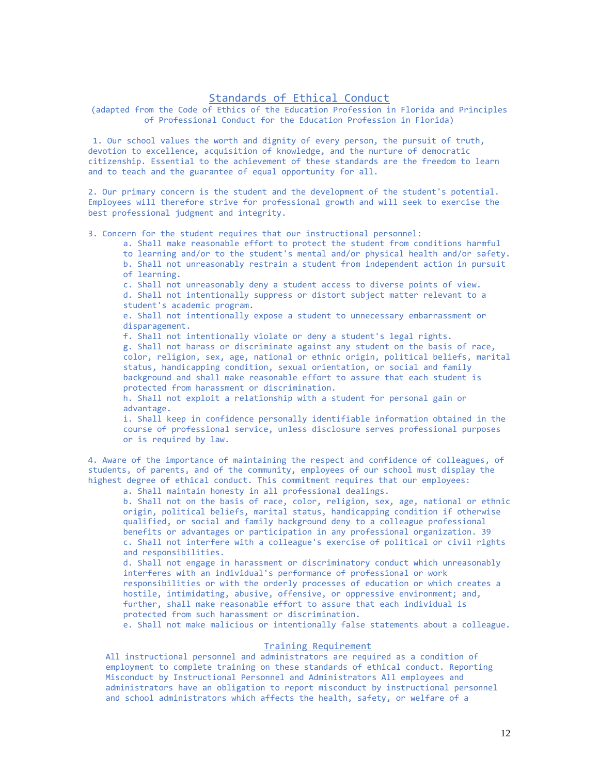## Standards of Ethical Conduct

(adapted from the Code of Ethics of the Education Profession in Florida and Principles of Professional Conduct for the Education Profession in Florida)

1. Our school values the worth and dignity of every person, the pursuit of truth, devotion to excellence, acquisition of knowledge, and the nurture of democratic citizenship. Essential to the achievement of these standards are the freedom to learn and to teach and the guarantee of equal opportunity for all.

2. Our primary concern is the student and the development of the student's potential. Employees will therefore strive for professional growth and will seek to exercise the best professional judgment and integrity.

3. Concern for the student requires that our instructional personnel:

a. Shall make reasonable effort to protect the student from conditions harmful

to learning and/or to the student's mental and/or physical health and/or safety.

b. Shall not unreasonably restrain a student from independent action in pursuit of learning.

c. Shall not unreasonably deny a student access to diverse points of view.

d. Shall not intentionally suppress or distort subject matter relevant to a student's academic program.

e. Shall not intentionally expose a student to unnecessary embarrassment or disparagement.

f. Shall not intentionally violate or deny a student's legal rights.

g. Shall not harass or discriminate against any student on the basis of race, color, religion, sex, age, national or ethnic origin, political beliefs, marital status, handicapping condition, sexual orientation, or social and family background and shall make reasonable effort to assure that each student is protected from harassment or discrimination.

h. Shall not exploit a relationship with a student for personal gain or advantage.

i. Shall keep in confidence personally identifiable information obtained in the course of professional service, unless disclosure serves professional purposes or is required by law.

4. Aware of the importance of maintaining the respect and confidence of colleagues, of students, of parents, and of the community, employees of our school must display the highest degree of ethical conduct. This commitment requires that our employees:

a. Shall maintain honesty in all professional dealings.

b. Shall not on the basis of race, color, religion, sex, age, national or ethnic origin, political beliefs, marital status, handicapping condition if otherwise qualified, or social and family background deny to a colleague professional benefits or advantages or participation in any professional organization. 39 c. Shall not interfere with a colleague's exercise of political or civil rights and responsibilities.

d. Shall not engage in harassment or discriminatory conduct which unreasonably interferes with an individual's performance of professional or work responsibilities or with the orderly processes of education or which creates a hostile, intimidating, abusive, offensive, or oppressive environment; and, further, shall make reasonable effort to assure that each individual is protected from such harassment or discrimination.

e. Shall not make malicious or intentionally false statements about a colleague.

#### Training Requirement

All instructional personnel and administrators are required as a condition of employment to complete training on these standards of ethical conduct. Reporting Misconduct by Instructional Personnel and Administrators All employees and administrators have an obligation to report misconduct by instructional personnel and school administrators which affects the health, safety, or welfare of a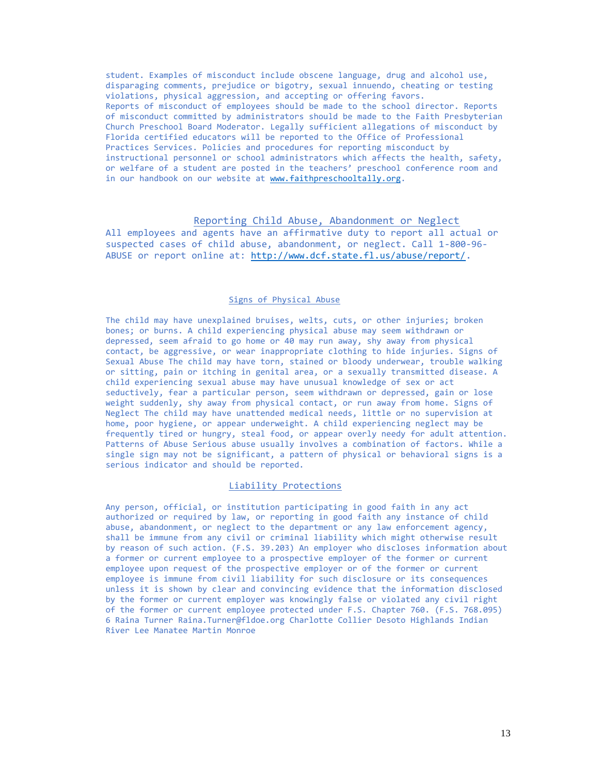student. Examples of misconduct include obscene language, drug and alcohol use, disparaging comments, prejudice or bigotry, sexual innuendo, cheating or testing violations, physical aggression, and accepting or offering favors. Reports of misconduct of employees should be made to the school director. Reports of misconduct committed by administrators should be made to the Faith Presbyterian Church Preschool Board Moderator. Legally sufficient allegations of misconduct by Florida certified educators will be reported to the Office of Professional Practices Services. Policies and procedures for reporting misconduct by instructional personnel or school administrators which affects the health, safety, or welfare of a student are posted in the teachers' preschool conference room and in our handbook on our website at [www.faithpreschooltally.org.](http://www.faithpreschooltally.org/)

# Reporting Child Abuse, Abandonment or Neglect

All employees and agents have an affirmative duty to report all actual or suspected cases of child abuse, abandonment, or neglect. Call 1-800-96- ABUSE or report online at: [http://www.dcf.state.fl.us/abuse/report/.](http://www.dcf.state.fl.us/abuse/report/)

## Signs of Physical Abuse

The child may have unexplained bruises, welts, cuts, or other injuries; broken bones; or burns. A child experiencing physical abuse may seem withdrawn or depressed, seem afraid to go home or 40 may run away, shy away from physical contact, be aggressive, or wear inappropriate clothing to hide injuries. Signs of Sexual Abuse The child may have torn, stained or bloody underwear, trouble walking or sitting, pain or itching in genital area, or a sexually transmitted disease. A child experiencing sexual abuse may have unusual knowledge of sex or act seductively, fear a particular person, seem withdrawn or depressed, gain or lose weight suddenly, shy away from physical contact, or run away from home. Signs of Neglect The child may have unattended medical needs, little or no supervision at home, poor hygiene, or appear underweight. A child experiencing neglect may be frequently tired or hungry, steal food, or appear overly needy for adult attention. Patterns of Abuse Serious abuse usually involves a combination of factors. While a single sign may not be significant, a pattern of physical or behavioral signs is a serious indicator and should be reported.

## Liability Protections

Any person, official, or institution participating in good faith in any act authorized or required by law, or reporting in good faith any instance of child abuse, abandonment, or neglect to the department or any law enforcement agency, shall be immune from any civil or criminal liability which might otherwise result by reason of such action. (F.S. 39.203) An employer who discloses information about a former or current employee to a prospective employer of the former or current employee upon request of the prospective employer or of the former or current employee is immune from civil liability for such disclosure or its consequences unless it is shown by clear and convincing evidence that the information disclosed by the former or current employer was knowingly false or violated any civil right of the former or current employee protected under F.S. Chapter 760. (F.S. 768.095) 6 Raina Turner Raina.Turner@fldoe.org Charlotte Collier Desoto Highlands Indian River Lee Manatee Martin Monroe